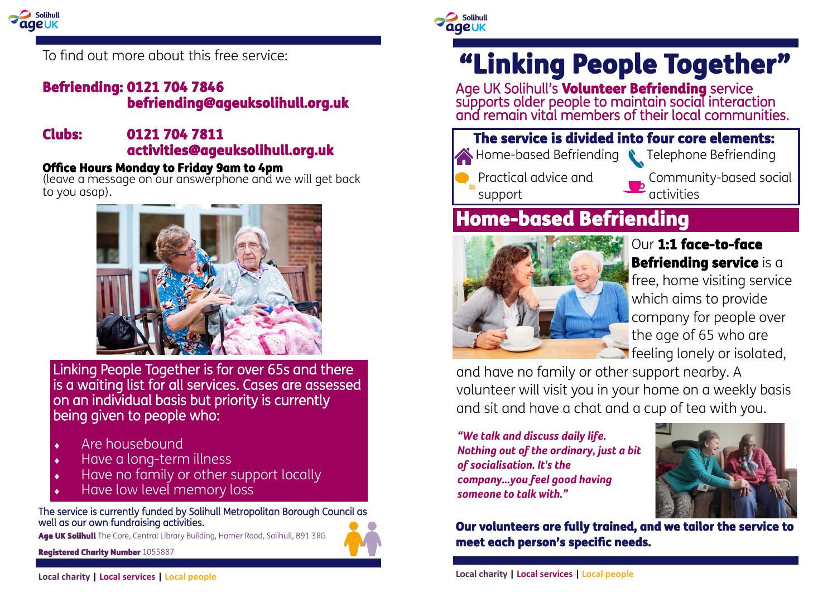

To find out more about this free service:

### Befriending: 0121 704 7846 befriending@ageuksolihull.org.uk

#### Clubs: 0121 704 7811 activities@ageuksolihull.org.uk

### Office Hours Monday to Friday 9am to 4pm

(leave a message on our answerphone and we will get back to you asap).



Linking People Together is for over 65s and there is a waiting list for all services. Cases are assessed on an individual basis but priority is currently being given to people who:

- Are housebound
- Have a long-term illness
- Have no family or other support locally
- Have low level memory loss

The service is currently funded by Solihull Metropolitan Borough Council as well as our own fundraising activities.

Age UK Solihull The Core, Central Library Building, Homer Road, Solihull, B91 3RG





Solihull

**aaeuk** 

# "Linking People Together"

Age UK Solihull's **Volunteer Befriending** service supports older people to maintain social interaction and remain vital members of their local communities.



The service is divided into four core elements: Home-based Befriending Telephone Befriending

Practical advice and support

Community-based social  $\overline{a}$  activities

### Home-based Befriending



### Our 1:1 face-to-face Befriending service is a free, home visiting service which aims to provide company for people over the age of 65 who are **T** feeling lonely or isolated,

and have no family or other support nearby. A volunteer will visit you in your home on a weekly basis and sit and have a chat and a cup of tea with you.

*"We talk and discuss daily life. Nothing out of the ordinary, just a bit of socialisation. It's the company...you feel good having someone to talk with."*



Our volunteers are fully trained, and we tailor the service to meet each person's specific needs.

**Local charity | Local services | Local people**

**Local charity | Local services | Local people**